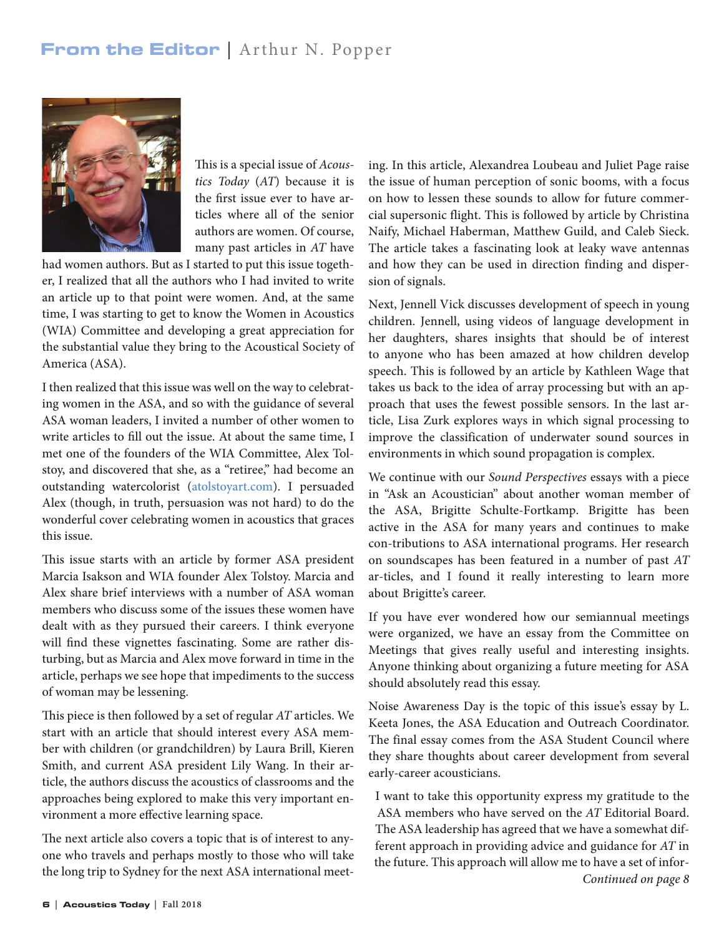## From the Editor | Arthur N. Popper



This is a special issue of *Acoustics Today* (*AT*) because it is the first issue ever to have articles where all of the senior authors are women. Of course, many past articles in *AT* have

had women authors. But as I started to put this issue together, I realized that all the authors who I had invited to write an article up to that point were women. And, at the same time, I was starting to get to know the Women in Acoustics (WIA) Committee and developing a great appreciation for the substantial value they bring to the Acoustical Society of America (ASA).

I then realized that this issue was well on the way to celebrating women in the ASA, and so with the guidance of several ASA woman leaders, I invited a number of other women to write articles to fill out the issue. At about the same time, I met one of the founders of the WIA Committee, Alex Tolstoy, and discovered that she, as a "retiree," had become an outstanding watercolorist [\(atolstoyart.com\)](https://www.atolstoyart.com/). I persuaded Alex (though, in truth, persuasion was not hard) to do the wonderful cover celebrating women in acoustics that graces this issue.

This issue starts with an article by former ASA president Marcia Isakson and WIA founder Alex Tolstoy. Marcia and Alex share brief interviews with a number of ASA woman members who discuss some of the issues these women have dealt with as they pursued their careers. I think everyone will find these vignettes fascinating. Some are rather disturbing, but as Marcia and Alex move forward in time in the article, perhaps we see hope that impediments to the success of woman may be lessening.

This piece is then followed by a set of regular *AT* articles. We start with an article that should interest every ASA member with children (or grandchildren) by Laura Brill, Kieren Smith, and current ASA president Lily Wang. In their article, the authors discuss the acoustics of classrooms and the approaches being explored to make this very important environment a more effective learning space.

The next article also covers a topic that is of interest to anyone who travels and perhaps mostly to those who will take the long trip to Sydney for the next ASA international meeting. In this article, Alexandrea Loubeau and Juliet Page raise the issue of human perception of sonic booms, with a focus on how to lessen these sounds to allow for future commercial supersonic flight. This is followed by article by Christina Naify, Michael Haberman, Matthew Guild, and Caleb Sieck. The article takes a fascinating look at leaky wave antennas and how they can be used in direction finding and dispersion of signals.

Next, Jennell Vick discusses development of speech in young children. Jennell, using videos of language development in her daughters, shares insights that should be of interest to anyone who has been amazed at how children develop speech. This is followed by an article by Kathleen Wage that takes us back to the idea of array processing but with an approach that uses the fewest possible sensors. In the last article, Lisa Zurk explores ways in which signal processing to improve the classification of underwater sound sources in environments in which sound propagation is complex.

We continue with our *Sound Perspectives* essays with a piece in "Ask an Acoustician" about another woman member of the ASA, Brigitte Schulte-Fortkamp. Brigitte has been active in the ASA for many years and continues to make con-tributions to ASA international programs. Her research on soundscapes has been featured in a number of past *AT* ar-ticles, and I found it really interesting to learn more about Brigitte's career.

If you have ever wondered how our semiannual meetings were organized, we have an essay from the Committee on Meetings that gives really useful and interesting insights. Anyone thinking about organizing a future meeting for ASA should absolutely read this essay.

Noise Awareness Day is the topic of this issue's essay by L. Keeta Jones, the ASA Education and Outreach Coordinator. The final essay comes from the ASA Student Council where they share thoughts about career development from several early-career acousticians.

I want to take this opportunity express my gratitude to the ASA members who have served on the *AT* Editorial Board. The ASA leadership has agreed that we have a somewhat different approach in providing advice and guidance for *AT* in the future. This approach will allow me to have a set of infor-*Continued on page 8*